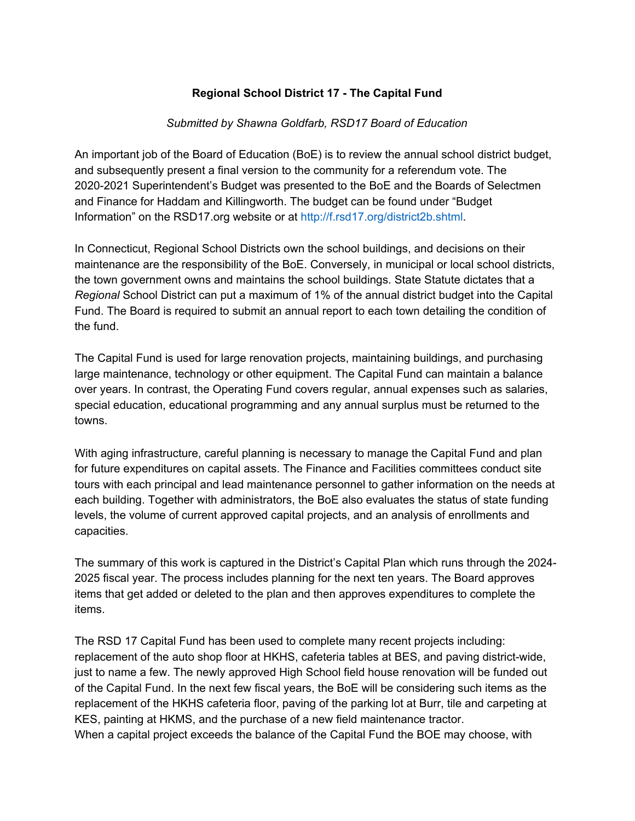## **Regional School District 17 - The Capital Fund**

## *Submitted by Shawna Goldfarb, RSD17 Board of Education*

An important job of the Board of Education (BoE) is to review the annual school district budget, and subsequently present a final version to the community for a referendum vote. The 2020-2021 Superintendent's Budget was presented to the BoE and the Boards of Selectmen and Finance for Haddam and Killingworth. The budget can be found under "Budget Information" on the RSD17.org website or at http://f.rsd17.org/district2b.shtml.

In Connecticut, Regional School Districts own the school buildings, and decisions on their maintenance are the responsibility of the BoE. Conversely, in municipal or local school districts, the town government owns and maintains the school buildings. State Statute dictates that a *Regional* School District can put a maximum of 1% of the annual district budget into the Capital Fund. The Board is required to submit an annual report to each town detailing the condition of the fund.

The Capital Fund is used for large renovation projects, maintaining buildings, and purchasing large maintenance, technology or other equipment. The Capital Fund can maintain a balance over years. In contrast, the Operating Fund covers regular, annual expenses such as salaries, special education, educational programming and any annual surplus must be returned to the towns.

With aging infrastructure, careful planning is necessary to manage the Capital Fund and plan for future expenditures on capital assets. The Finance and Facilities committees conduct site tours with each principal and lead maintenance personnel to gather information on the needs at each building. Together with administrators, the BoE also evaluates the status of state funding levels, the volume of current approved capital projects, and an analysis of enrollments and capacities.

The summary of this work is captured in the District's Capital Plan which runs through the 2024- 2025 fiscal year. The process includes planning for the next ten years. The Board approves items that get added or deleted to the plan and then approves expenditures to complete the items.

The RSD 17 Capital Fund has been used to complete many recent projects including: replacement of the auto shop floor at HKHS, cafeteria tables at BES, and paving district-wide, just to name a few. The newly approved High School field house renovation will be funded out of the Capital Fund. In the next few fiscal years, the BoE will be considering such items as the replacement of the HKHS cafeteria floor, paving of the parking lot at Burr, tile and carpeting at KES, painting at HKMS, and the purchase of a new field maintenance tractor.

When a capital project exceeds the balance of the Capital Fund the BOE may choose, with